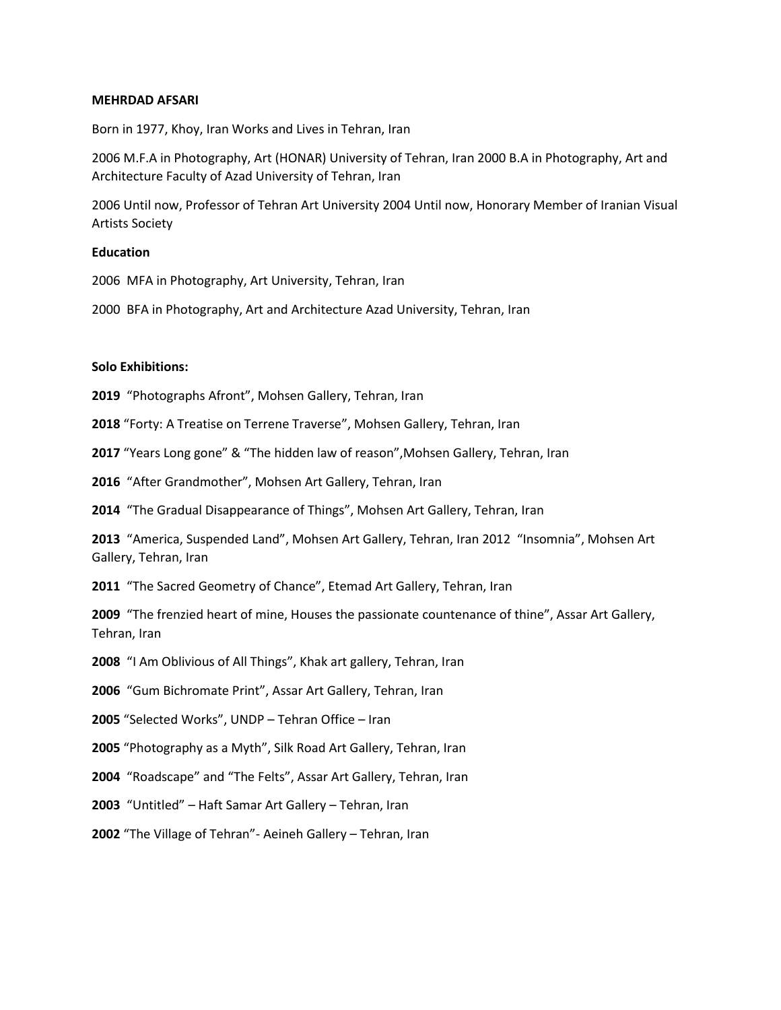## **MEHRDAD AFSARI**

Born in 1977, Khoy, Iran Works and Lives in Tehran, Iran

2006 M.F.A in Photography, Art (HONAR) University of Tehran, Iran 2000 B.A in Photography, Art and Architecture Faculty of Azad University of Tehran, Iran

2006 Until now, Professor of Tehran Art University 2004 Until now, Honorary Member of Iranian Visual Artists Society

# **Education**

2006 MFA in Photography, Art University, Tehran, Iran

2000 BFA in Photography, Art and Architecture Azad University, Tehran, Iran

# **Solo Exhibitions:**

**2019** "Photographs Afront", Mohsen Gallery, Tehran, Iran

**2018** "Forty: A Treatise on Terrene Traverse", Mohsen Gallery, Tehran, Iran

**2017** "Years Long gone" & "The hidden law of reason",Mohsen Gallery, Tehran, Iran

**2016** "After Grandmother", Mohsen Art Gallery, Tehran, Iran

**2014** "The Gradual Disappearance of Things", Mohsen Art Gallery, Tehran, Iran

**2013** "America, Suspended Land", Mohsen Art Gallery, Tehran, Iran 2012 "Insomnia", Mohsen Art Gallery, Tehran, Iran

**2011** "The Sacred Geometry of Chance", Etemad Art Gallery, Tehran, Iran

**2009** "The frenzied heart of mine, Houses the passionate countenance of thine", Assar Art Gallery, Tehran, Iran

**2008** "I Am Oblivious of All Things", Khak art gallery, Tehran, Iran

**2006** "Gum Bichromate Print", Assar Art Gallery, Tehran, Iran

**2005** "Selected Works", UNDP – Tehran Office – Iran

**2005** "Photography as a Myth", Silk Road Art Gallery, Tehran, Iran

**2004** "Roadscape" and "The Felts", Assar Art Gallery, Tehran, Iran

**2003** "Untitled" – Haft Samar Art Gallery – Tehran, Iran

**2002** "The Village of Tehran"- Aeineh Gallery – Tehran, Iran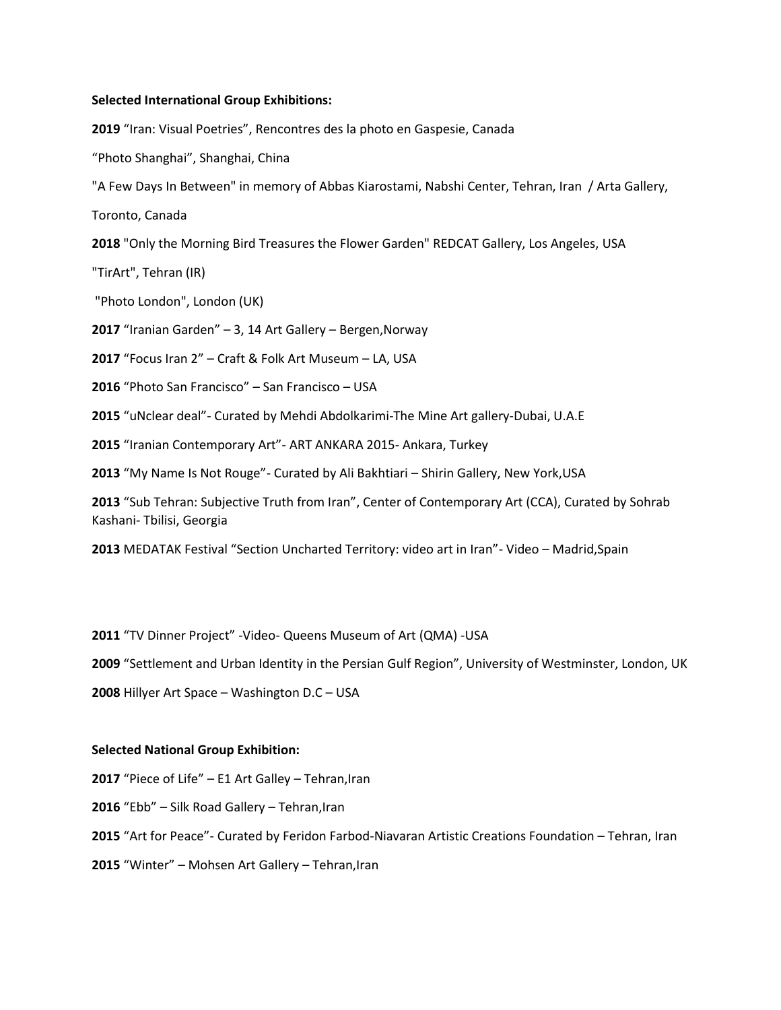### **Selected International Group Exhibitions:**

"Iran: Visual Poetries", Rencontres des la photo en Gaspesie, Canada

"Photo Shanghai", Shanghai, China

"A Few Days In Between" in memory of Abbas Kiarostami, Nabshi Center, Tehran, Iran / Arta Gallery,

Toronto, Canada

"Only the Morning Bird Treasures the Flower Garden" REDCAT Gallery, Los Angeles, USA

"TirArt", Tehran (IR)

"Photo London", London (UK)

"Iranian Garden" – 3, 14 Art Gallery – Bergen,Norway

"Focus Iran 2" – Craft & Folk Art Museum – LA, USA

"Photo San Francisco" – San Francisco – USA

"uNclear deal"- Curated by Mehdi Abdolkarimi-The Mine Art gallery-Dubai, U.A.E

"Iranian Contemporary Art"- ART ANKARA 2015- Ankara, Turkey

"My Name Is Not Rouge"- Curated by Ali Bakhtiari – Shirin Gallery, New York,USA

 "Sub Tehran: Subjective Truth from Iran", Center of Contemporary Art (CCA), Curated by Sohrab Kashani- Tbilisi, Georgia

MEDATAK Festival "Section Uncharted Territory: video art in Iran"- Video – Madrid,Spain

"TV Dinner Project" -Video- Queens Museum of Art (QMA) -USA

"Settlement and Urban Identity in the Persian Gulf Region", University of Westminster, London, UK

Hillyer Art Space – Washington D.C – USA

## **Selected National Group Exhibition:**

"Piece of Life" – E1 Art Galley – Tehran,Iran

"Ebb" – Silk Road Gallery – Tehran,Iran

"Art for Peace"- Curated by Feridon Farbod-Niavaran Artistic Creations Foundation – Tehran, Iran

"Winter" – Mohsen Art Gallery – Tehran,Iran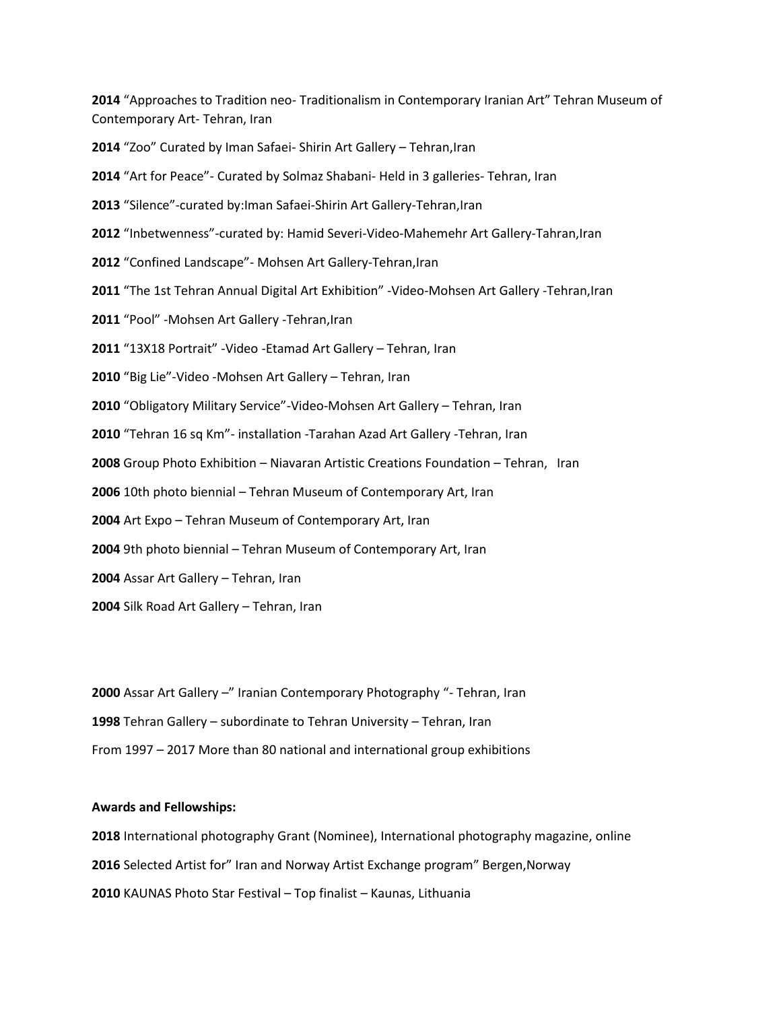"Approaches to Tradition neo- Traditionalism in Contemporary Iranian Art" Tehran Museum of Contemporary Art- Tehran, Iran

"Zoo" Curated by Iman Safaei- Shirin Art Gallery – Tehran,Iran

"Art for Peace"- Curated by Solmaz Shabani- Held in 3 galleries- Tehran, Iran

"Silence"-curated by:Iman Safaei-Shirin Art Gallery-Tehran,Iran

"Inbetwenness"-curated by: Hamid Severi-Video-Mahemehr Art Gallery-Tahran,Iran

"Confined Landscape"- Mohsen Art Gallery-Tehran,Iran

- "The 1st Tehran Annual Digital Art Exhibition" -Video-Mohsen Art Gallery -Tehran,Iran
- "Pool" -Mohsen Art Gallery -Tehran,Iran

"13X18 Portrait" -Video -Etamad Art Gallery – Tehran, Iran

"Big Lie"-Video -Mohsen Art Gallery – Tehran, Iran

"Obligatory Military Service"-Video-Mohsen Art Gallery – Tehran, Iran

"Tehran 16 sq Km"- installation -Tarahan Azad Art Gallery -Tehran, Iran

Group Photo Exhibition – Niavaran Artistic Creations Foundation – Tehran, Iran

10th photo biennial – Tehran Museum of Contemporary Art, Iran

Art Expo – Tehran Museum of Contemporary Art, Iran

9th photo biennial – Tehran Museum of Contemporary Art, Iran

Assar Art Gallery – Tehran, Iran

Silk Road Art Gallery – Tehran, Iran

 Assar Art Gallery –" Iranian Contemporary Photography "- Tehran, Iran Tehran Gallery – subordinate to Tehran University – Tehran, Iran From 1997 – 2017 More than 80 national and international group exhibitions

## **Awards and Fellowships:**

International photography Grant (Nominee), International photography magazine, online Selected Artist for" Iran and Norway Artist Exchange program" Bergen,Norway KAUNAS Photo Star Festival – Top finalist – Kaunas, Lithuania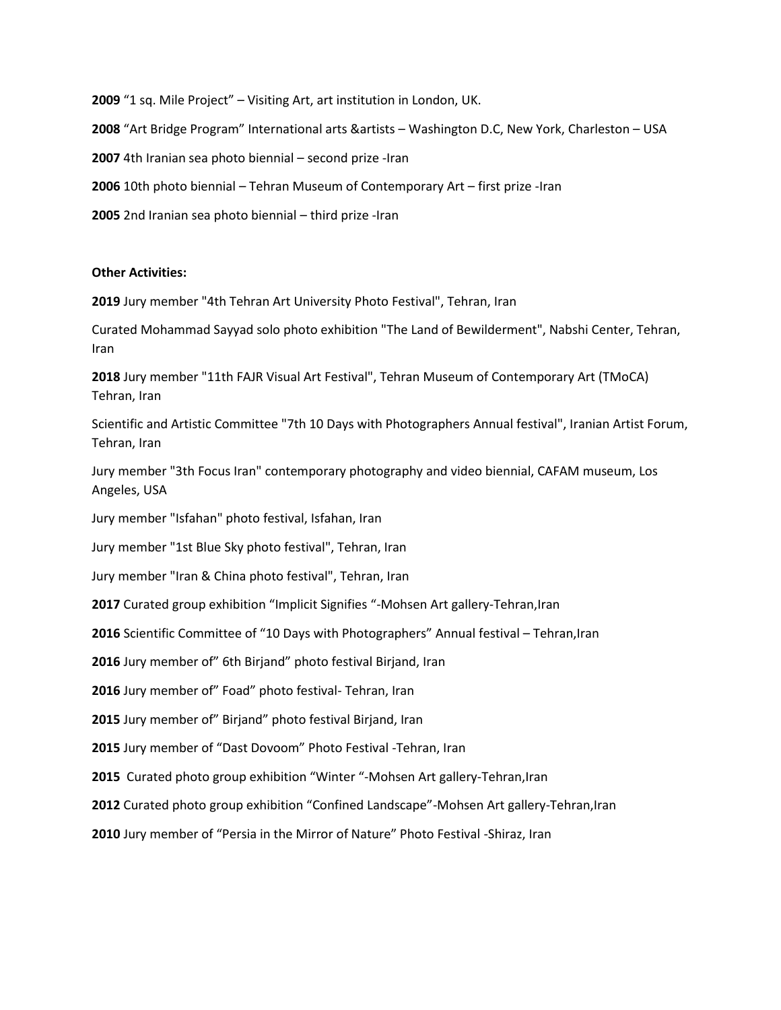"1 sq. Mile Project" – Visiting Art, art institution in London, UK. "Art Bridge Program" International arts &artists – Washington D.C, New York, Charleston – USA 4th Iranian sea photo biennial – second prize -Iran 10th photo biennial – Tehran Museum of Contemporary Art – first prize -Iran 2nd Iranian sea photo biennial – third prize -Iran

## **Other Activities:**

**2019** Jury member "4th Tehran Art University Photo Festival", Tehran, Iran

Curated Mohammad Sayyad solo photo exhibition "The Land of Bewilderment", Nabshi Center, Tehran, Iran

**2018** Jury member "11th FAJR Visual Art Festival", Tehran Museum of Contemporary Art (TMoCA) Tehran, Iran

Scientific and Artistic Committee "7th 10 Days with Photographers Annual festival", Iranian Artist Forum, Tehran, Iran

Jury member "3th Focus Iran" contemporary photography and video biennial, CAFAM museum, Los Angeles, USA

Jury member "Isfahan" photo festival, Isfahan, Iran

Jury member "1st Blue Sky photo festival", Tehran, Iran

Jury member "Iran & China photo festival", Tehran, Iran

**2017** Curated group exhibition "Implicit Signifies "-Mohsen Art gallery-Tehran,Iran

**2016** Scientific Committee of "10 Days with Photographers" Annual festival – Tehran,Iran

**2016** Jury member of" 6th Birjand" photo festival Birjand, Iran

**2016** Jury member of" Foad" photo festival- Tehran, Iran

**2015** Jury member of" Birjand" photo festival Birjand, Iran

**2015** Jury member of "Dast Dovoom" Photo Festival -Tehran, Iran

**2015** Curated photo group exhibition "Winter "-Mohsen Art gallery-Tehran,Iran

**2012** Curated photo group exhibition "Confined Landscape"-Mohsen Art gallery-Tehran,Iran

**2010** Jury member of "Persia in the Mirror of Nature" Photo Festival -Shiraz, Iran